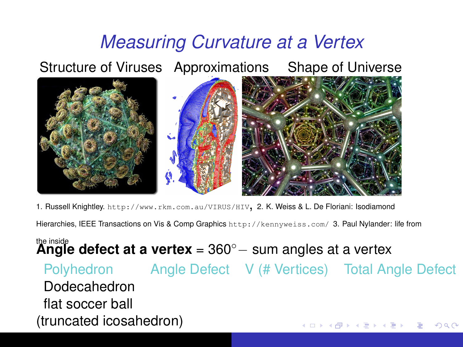## *Measuring Curvature at a Vertex*

Structure of Viruses Approximations Shape of Universe



1. Russell Knightley. <http://www.rkm.com.au/VIRUS/HIV>, 2. K. Weiss & L. De Floriani: Isodiamond

Hierarchies, IEEE Transactions on Vis & Comp Graphics <http://kennyweiss.com/> 3. Paul Nylander: life from

the inside **Angle defect at a vertex** = 360◦− sum angles at a vertex

Polyhedron Angle Defect V (# Vertices) Total Angle Defect Dodecahedron flat soccer ball (truncated icosahedron)4 ロ ) (何 ) (日 ) (日 )  $QQ$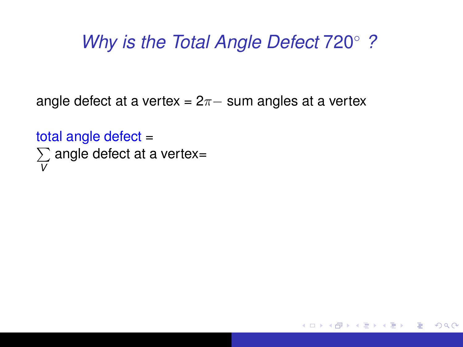K 何 ト K ヨ ト K ヨ ト

÷.  $QQ$ 

angle defect at a vertex =  $2\pi$  sum angles at a vertex

total angle defect total angle defect =<br>∑ angle defect at a vertex= *V*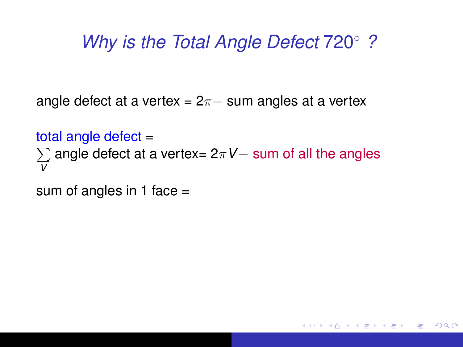K 何 ト K ヨ ト K ヨ ト

÷.  $QQ$ 

angle defect at a vertex =  $2\pi$  sum angles at a vertex

total angle defect  $=$ total angle defect =<br>∑ angle defect at a vertex= 2π*V*− sum of all the angles *V*

sum of angles in 1 face  $=$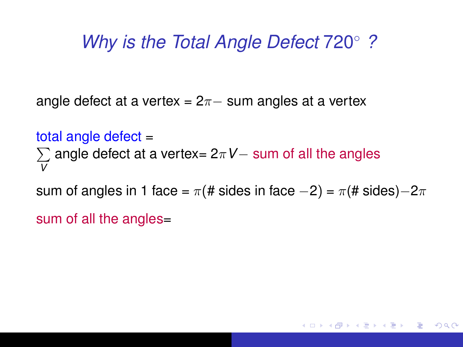angle defect at a vertex =  $2\pi$  sum angles at a vertex

total angle defect total angle defect =<br>∑ angle defect at a vertex= 2π*V*− sum of all the angles *V*

sum of angles in 1 face =  $\pi$ (# sides in face  $-2$ ) =  $\pi$ (# sides) $-2\pi$ 

 $\langle \oplus \rangle$  >  $\langle \oplus \rangle$  >  $\langle \oplus \rangle$ 

÷.  $QQ$ 

sum of all the angles=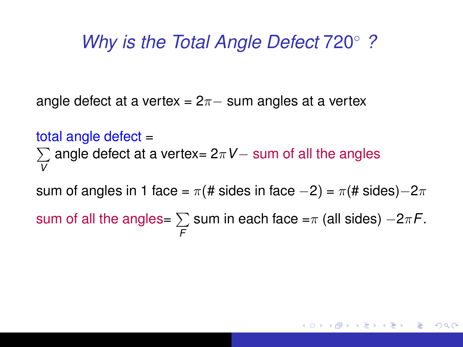angle defect at a vertex =  $2\pi$  sum angles at a vertex

total angle defect total angle defect =<br>∑ angle defect at a vertex= 2π*V*− sum of all the angles *V*

sum of angles in 1 face =  $\pi$ (# sides in face  $-2$ ) =  $\pi$ (# sides) $-2\pi$ 

sum of all the angles=  $\sum$  sum in each face = $\pi$  (all sides)  $-2\pi$ F. *F*

イ御 メモ メモ メモ メーモー

 $QQ$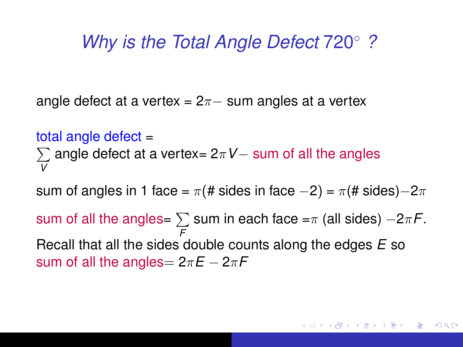angle defect at a vertex =  $2\pi$  sum angles at a vertex

total angle defect total angle defect =<br>∑ angle defect at a vertex= 2π*V*− sum of all the angles *V*

sum of angles in 1 face =  $\pi$ (# sides in face  $-2$ ) =  $\pi$ (# sides) $-2\pi$ 

sum of all the angles=  $\sum$  sum in each face = $\pi$  (all sides)  $-2\pi$ F. *F* Recall that all the sides double counts along the edges *E* so sum of all the angles=  $2\pi E - 2\pi F$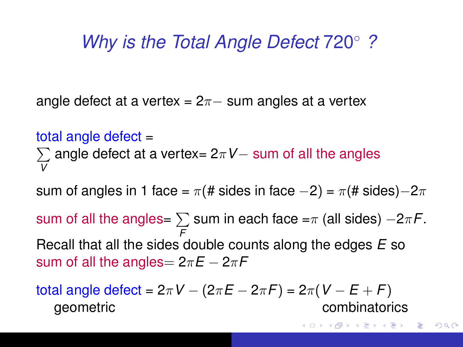angle defect at a vertex =  $2\pi$  sum angles at a vertex

total angle defect  $=$ total angle defect =<br>∑ angle defect at a vertex= 2π*V*− sum of all the angles *V*

sum of angles in 1 face =  $\pi$ (# sides in face  $-2$ ) =  $\pi$ (# sides) $-2\pi$ 

sum of all the angles=  $\sum$  sum in each face = $\pi$  (all sides)  $-2\pi$ F. *F* Recall that all the sides double counts along the edges *E* so sum of all the angles=  $2\pi E - 2\pi F$ 

total angle defect = 2π*V* − (2π*E* − 2π*F*) = 2π(*V* − *E* + *F*) geometric combinatorics

K 何 ▶ K ヨ ▶ K ヨ ▶ ...

÷.

 $2Q$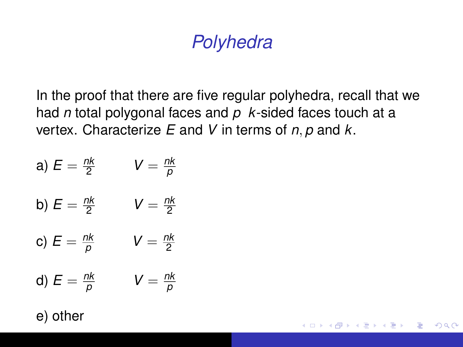# *Polyhedra*

In the proof that there are five regular polyhedra, recall that we had *n* total polygonal faces and *p k*-sided faces touch at a vertex. Characterize *E* and *V* in terms of *n*, *p* and *k*.

イロト イ団ト イヨト イヨト

÷.  $QQ$ 

a) 
$$
E = \frac{nk}{2}
$$
  $V = \frac{nk}{p}$ 

b) 
$$
E = \frac{nk}{2}
$$
 
$$
V = \frac{nk}{2}
$$

c) 
$$
E = \frac{nk}{p}
$$
  $V = \frac{nk}{2}$ 

d) 
$$
E = \frac{nk}{p}
$$
  $V = \frac{nk}{p}$ 

e) other